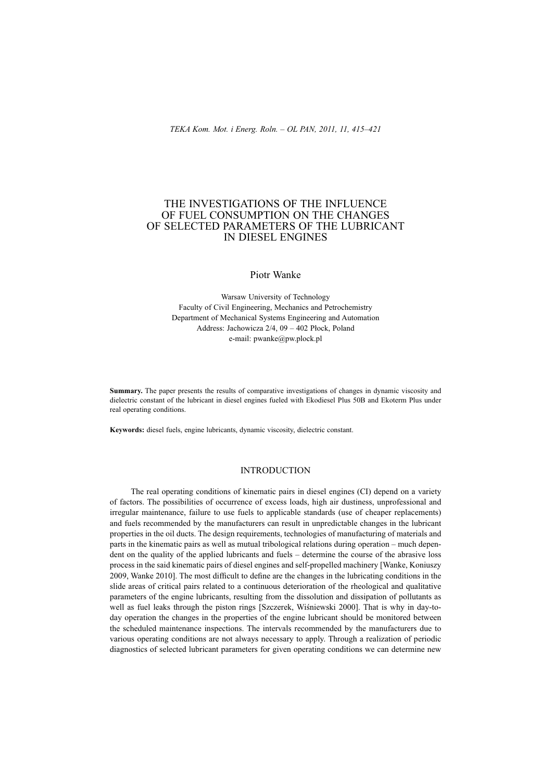# THE INVESTIGATIONS OF THE INFLUENCE OF FUEL CONSUMPTION ON THE CHANGES OF SELECTED PARAMETERS OF THE LUBRICANT IN DIESEL ENGINES

Piotr Wanke

Warsaw University of Technology Faculty of Civil Engineering, Mechanics and Petrochemistry Department of Mechanical Systems Engineering and Automation Address: Jachowicza  $2/4$ , 09 – 402 Płock, Poland e-mail: pwanke@pw.plock.pl

**Summary.** The paper presents the results of comparative investigations of changes in dynamic viscosity and dielectric constant of the lubricant in diesel engines fueled with Ekodiesel Plus 50B and Ekoterm Plus under real operating conditions.

**Keywords:** diesel fuels, engine lubricants, dynamic viscosity, dielectric constant.

## **INTRODUCTION**

The real operating conditions of kinematic pairs in diesel engines (CI) depend on a variety of factors. The possibilities of occurrence of excess loads, high air dustiness, unprofessional and irregular maintenance, failure to use fuels to applicable standards (use of cheaper replacements) and fuels recommended by the manufacturers can result in unpredictable changes in the lubricant properties in the oil ducts. The design requirements, technologies of manufacturing of materials and parts in the kinematic pairs as well as mutual tribological relations during operation – much dependent on the quality of the applied lubricants and fuels – determine the course of the abrasive loss process in the said kinematic pairs of diesel engines and self-propelled machinery [Wanke, Koniuszy 2009, Wanke 2010]. The most difficult to define are the changes in the lubricating conditions in the slide areas of critical pairs related to a continuous deterioration of the rheological and qualitative parameters of the engine lubricants, resulting from the dissolution and dissipation of pollutants as well as fuel leaks through the piston rings [Szczerek, Wiśniewski 2000]. That is why in day-today operation the changes in the properties of the engine lubricant should be monitored between the scheduled maintenance inspections. The intervals recommended by the manufacturers due to various operating conditions are not always necessary to apply. Through a realization of periodic diagnostics of selected lubricant parameters for given operating conditions we can determine new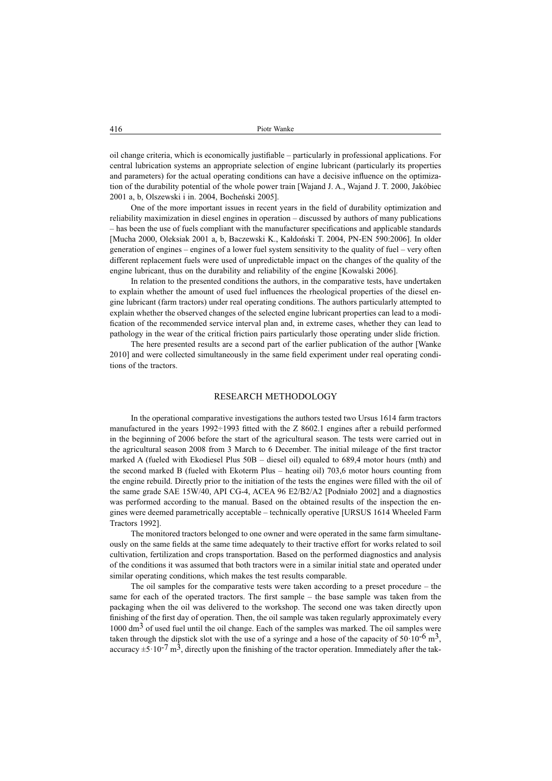oil change criteria, which is economically justifi able – particularly in professional applications. For central lubrication systems an appropriate selection of engine lubricant (particularly its properties and parameters) for the actual operating conditions can have a decisive influence on the optimization of the durability potential of the whole power train [Wajand J. A., Wajand J. T. 2000, Jakóbiec 2001 a, b, Olszewski i in. 2004, Bocheński 2005].

One of the more important issues in recent years in the field of durability optimization and reliability maximization in diesel engines in operation – discussed by authors of many publications – has been the use of fuels compliant with the manufacturer specifications and applicable standards [Mucha 2000, Oleksiak 2001 a, b, Baczewski K., Kałdoński T. 2004, PN-EN 590:2006]. In older generation of engines – engines of a lower fuel system sensitivity to the quality of fuel – very often different replacement fuels were used of unpredictable impact on the changes of the quality of the engine lubricant, thus on the durability and reliability of the engine [Kowalski 2006].

In relation to the presented conditions the authors, in the comparative tests, have undertaken to explain whether the amount of used fuel influences the rheological properties of the diesel engine lubricant (farm tractors) under real operating conditions. The authors particularly attempted to explain whether the observed changes of the selected engine lubricant properties can lead to a modification of the recommended service interval plan and, in extreme cases, whether they can lead to pathology in the wear of the critical friction pairs particularly those operating under slide friction.

The here presented results are a second part of the earlier publication of the author [Wanke 2010] and were collected simultaneously in the same field experiment under real operating conditions of the tractors.

#### RESEARCH METHODOLOGY

In the operational comparative investigations the authors tested two Ursus 1614 farm tractors manufactured in the years  $1992 \div 1993$  fitted with the Z 8602.1 engines after a rebuild performed in the beginning of 2006 before the start of the agricultural season. The tests were carried out in the agricultural season 2008 from 3 March to 6 December. The initial mileage of the first tractor marked A (fueled with Ekodiesel Plus 50B – diesel oil) equaled to 689,4 motor hours (mth) and the second marked B (fueled with Ekoterm Plus – heating oil) 703,6 motor hours counting from the engine rebuild. Directly prior to the initiation of the tests the engines were filled with the oil of the same grade SAE 15W/40, API CG-4, ACEA 96 E2/B2/A2 [Podniaáo 2002] and a diagnostics was performed according to the manual. Based on the obtained results of the inspection the engines were deemed parametrically acceptable – technically operative [URSUS 1614 Wheeled Farm Tractors 1992].

The monitored tractors belonged to one owner and were operated in the same farm simultaneously on the same fields at the same time adequately to their tractive effort for works related to soil cultivation, fertilization and crops transportation. Based on the performed diagnostics and analysis of the conditions it was assumed that both tractors were in a similar initial state and operated under similar operating conditions, which makes the test results comparable.

The oil samples for the comparative tests were taken according to a preset procedure – the same for each of the operated tractors. The first sample – the base sample was taken from the packaging when the oil was delivered to the workshop. The second one was taken directly upon finishing of the first day of operation. Then, the oil sample was taken regularly approximately every  $1000 \text{ dm}^3$  of used fuel until the oil change. Each of the samples was marked. The oil samples were taken through the dipstick slot with the use of a syringe and a hose of the capacity of  $50 \cdot 10^{-6}$  m<sup>3</sup>, accuracy  $\pm$ 5·10<sup>-7</sup> m<sup>3</sup>, directly upon the finishing of the tractor operation. Immediately after the tak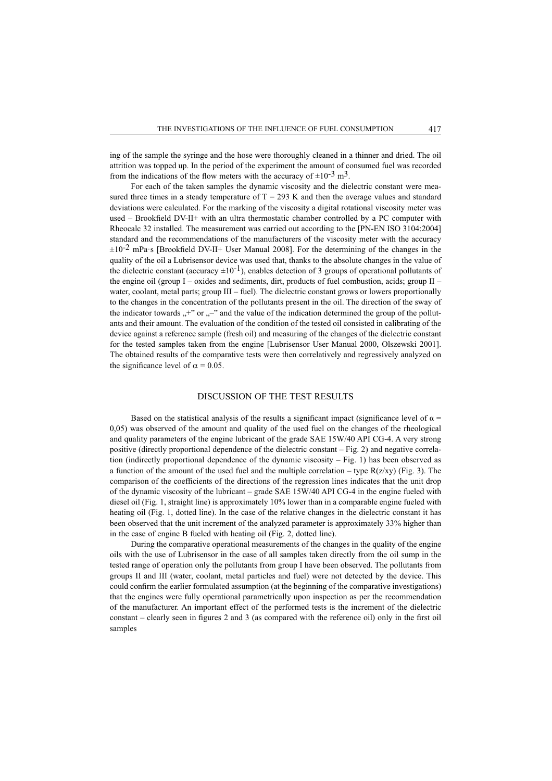ing of the sample the syringe and the hose were thoroughly cleaned in a thinner and dried. The oil attrition was topped up. In the period of the experiment the amount of consumed fuel was recorded from the indications of the flow meters with the accuracy of  $\pm 10^{-3}$  m<sup>3</sup>.

For each of the taken samples the dynamic viscosity and the dielectric constant were measured three times in a steady temperature of  $T = 293$  K and then the average values and standard deviations were calculated. For the marking of the viscosity a digital rotational viscosity meter was used – Brookfield DV-II+ with an ultra thermostatic chamber controlled by a PC computer with Rheocalc 32 installed. The measurement was carried out according to the [PN-EN ISO 3104:2004] standard and the recommendations of the manufacturers of the viscosity meter with the accuracy  $\pm 10^{-2}$  mPa·s [Brookfield DV-II+ User Manual 2008]. For the determining of the changes in the quality of the oil a Lubrisensor device was used that, thanks to the absolute changes in the value of the dielectric constant (accuracy  $\pm 10^{-1}$ ), enables detection of 3 groups of operational pollutants of the engine oil (group I – oxides and sediments, dirt, products of fuel combustion, acids; group  $II$  – water, coolant, metal parts; group III – fuel). The dielectric constant grows or lowers proportionally to the changes in the concentration of the pollutants present in the oil. The direction of the sway of the indicator towards  $+$ " or  $-$ " and the value of the indication determined the group of the pollutants and their amount. The evaluation of the condition of the tested oil consisted in calibrating of the device against a reference sample (fresh oil) and measuring of the changes of the dielectric constant for the tested samples taken from the engine [Lubrisensor User Manual 2000, Olszewski 2001]. The obtained results of the comparative tests were then correlatively and regressively analyzed on the significance level of  $\alpha = 0.05$ .

#### DISCUSSION OF THE TEST RESULTS

Based on the statistical analysis of the results a significant impact (significance level of  $\alpha$  = 0,05) was observed of the amount and quality of the used fuel on the changes of the rheological and quality parameters of the engine lubricant of the grade SAE 15W/40 API CG-4. A very strong positive (directly proportional dependence of the dielectric constant – Fig. 2) and negative correlation (indirectly proportional dependence of the dynamic viscosity – Fig. 1) has been observed as a function of the amount of the used fuel and the multiple correlation – type  $R(z/xy)$  (Fig. 3). The comparison of the coefficients of the directions of the regression lines indicates that the unit drop of the dynamic viscosity of the lubricant – grade SAE 15W/40 API CG-4 in the engine fueled with diesel oil (Fig. 1, straight line) is approximately 10% lower than in a comparable engine fueled with heating oil (Fig. 1, dotted line). In the case of the relative changes in the dielectric constant it has been observed that the unit increment of the analyzed parameter is approximately 33% higher than in the case of engine B fueled with heating oil (Fig. 2, dotted line).

During the comparative operational measurements of the changes in the quality of the engine oils with the use of Lubrisensor in the case of all samples taken directly from the oil sump in the tested range of operation only the pollutants from group I have been observed. The pollutants from groups II and III (water, coolant, metal particles and fuel) were not detected by the device. This could confirm the earlier formulated assumption (at the beginning of the comparative investigations) that the engines were fully operational parametrically upon inspection as per the recommendation of the manufacturer. An important effect of the performed tests is the increment of the dielectric constant – clearly seen in figures 2 and 3 (as compared with the reference oil) only in the first oil samples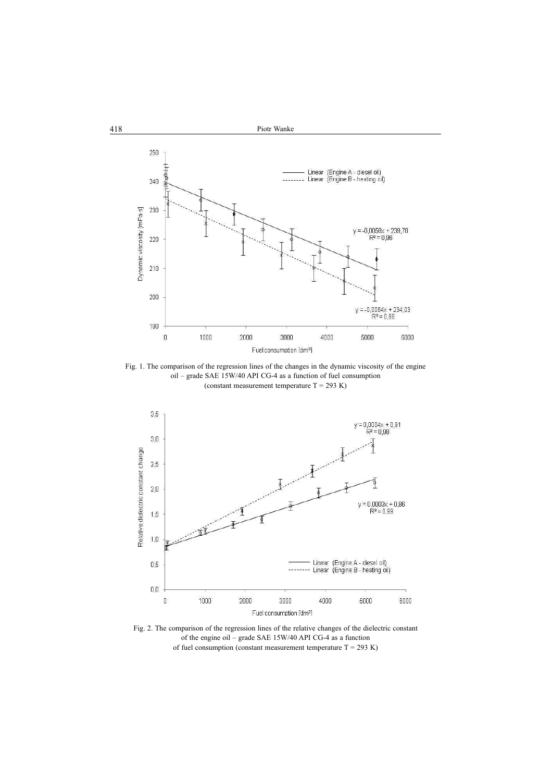

Fig. 1. The comparison of the regression lines of the changes in the dynamic viscosity of the engine oil – grade SAE 15W/40 API CG-4 as a function of fuel consumption (constant measurement temperature  $T = 293 K$ )



Fig. 2. The comparison of the regression lines of the relative changes of the dielectric constant of the engine oil – grade SAE 15W/40 API CG-4 as a function of fuel consumption (constant measurement temperature  $T = 293 K$ )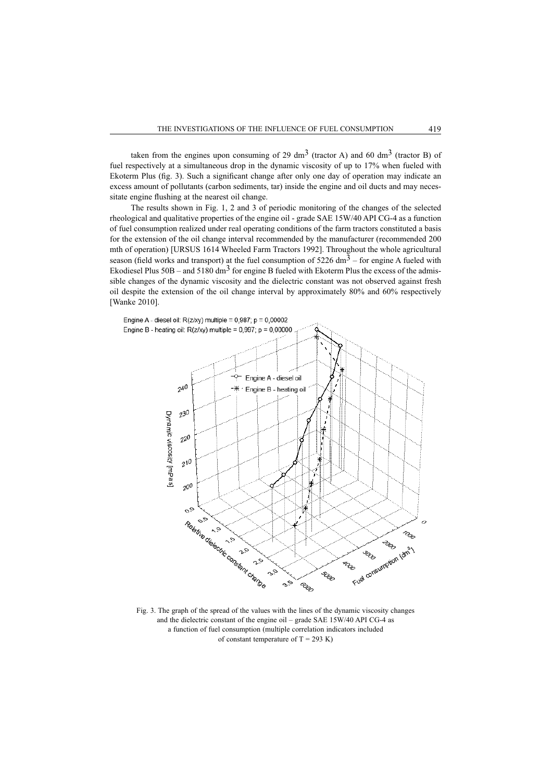taken from the engines upon consuming of 29 dm<sup>3</sup> (tractor A) and 60 dm<sup>3</sup> (tractor B) of fuel respectively at a simultaneous drop in the dynamic viscosity of up to 17% when fueled with Ekoterm Plus (fig. 3). Such a significant change after only one day of operation may indicate an excess amount of pollutants (carbon sediments, tar) inside the engine and oil ducts and may necessitate engine flushing at the nearest oil change.

The results shown in Fig. 1, 2 and 3 of periodic monitoring of the changes of the selected rheological and qualitative properties of the engine oil - grade SAE 15W/40 API CG-4 as a function of fuel consumption realized under real operating conditions of the farm tractors constituted a basis for the extension of the oil change interval recommended by the manufacturer (recommended 200 mth of operation) [URSUS 1614 Wheeled Farm Tractors 1992]. Throughout the whole agricultural season (field works and transport) at the fuel consumption of  $5226 \text{ dm}^3$  – for engine A fueled with Ekodiesel Plus  $50B - and 5180 \text{ dm}^3$  for engine B fueled with Ekoterm Plus the excess of the admissible changes of the dynamic viscosity and the dielectric constant was not observed against fresh oil despite the extension of the oil change interval by approximately 80% and 60% respectively [Wanke 2010].



Fig. 3. The graph of the spread of the values with the lines of the dynamic viscosity changes and the dielectric constant of the engine oil – grade SAE 15W/40 API CG-4 as a function of fuel consumption (multiple correlation indicators included of constant temperature of  $T = 293$  K)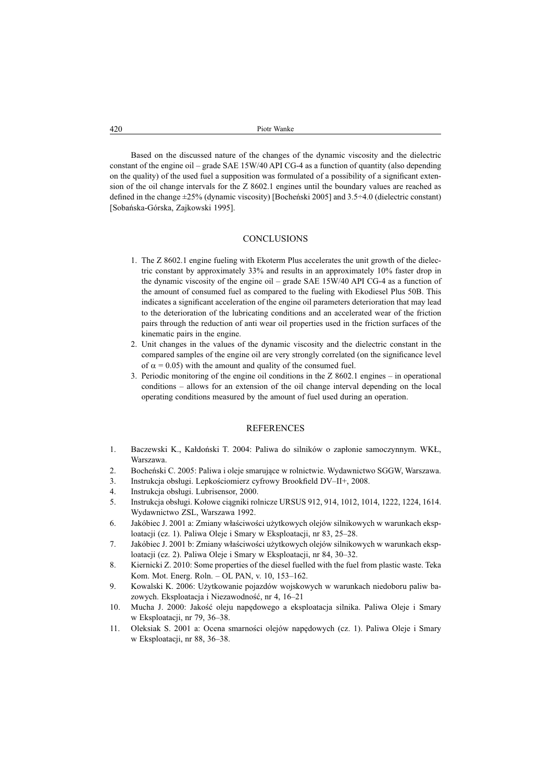Based on the discussed nature of the changes of the dynamic viscosity and the dielectric constant of the engine oil – grade SAE 15W/40 API CG-4 as a function of quantity (also depending on the quality) of the used fuel a supposition was formulated of a possibility of a significant extension of the oil change intervals for the Z 8602.1 engines until the boundary values are reached as defined in the change  $\pm 25\%$  (dynamic viscosity) [Bocheński 2005] and 3.5 $\div$ 4.0 (dielectric constant) [Sobańska-Górska, Zajkowski 1995].

## **CONCLUSIONS**

- 1. The Z 8602.1 engine fueling with Ekoterm Plus accelerates the unit growth of the dielectric constant by approximately 33% and results in an approximately 10% faster drop in the dynamic viscosity of the engine oil – grade SAE 15W/40 API CG-4 as a function of the amount of consumed fuel as compared to the fueling with Ekodiesel Plus 50B. This indicates a significant acceleration of the engine oil parameters deterioration that may lead to the deterioration of the lubricating conditions and an accelerated wear of the friction pairs through the reduction of anti wear oil properties used in the friction surfaces of the kinematic pairs in the engine.
- 2. Unit changes in the values of the dynamic viscosity and the dielectric constant in the compared samples of the engine oil are very strongly correlated (on the significance level of  $\alpha$  = 0.05) with the amount and quality of the consumed fuel.
- 3. Periodic monitoring of the engine oil conditions in the Z 8602.1 engines in operational conditions – allows for an extension of the oil change interval depending on the local operating conditions measured by the amount of fuel used during an operation.

### REFERENCES

- 1. Baczewski K., Kałdoński T. 2004: Paliwa do silników o zapłonie samoczynnym. WKŁ, Warszawa.
- 2. Bocheński C. 2005: Paliwa i oleje smarujące w rolnictwie. Wydawnictwo SGGW, Warszawa.
- 3. Instrukcja obsługi. Lepkościomierz cyfrowy Brookfield DV-II+, 2008.
- 4. Instrukcja obsługi. Lubrisensor, 2000.
- 5. Instrukcja obsáugi. Koáowe ciągniki rolnicze URSUS 912, 914, 1012, 1014, 1222, 1224, 1614. Wydawnictwo ZSL, Warszawa 1992.
- 6. Jakóbiec J. 2001 a: Zmiany właściwości użytkowych olejów silnikowych w warunkach eksploatacji (cz. 1). Paliwa Oleje i Smary w Eksploatacji, nr 83, 25–28.
- 7. Jakóbiec J. 2001 b: Zmiany właściwości użytkowych olejów silnikowych w warunkach eksploatacji (cz. 2). Paliwa Oleje i Smary w Eksploatacji, nr 84, 30–32.
- 8. Kiernicki Z. 2010: Some properties of the diesel fuelled with the fuel from plastic waste. Teka Kom. Mot. Energ. Roln. – OL PAN, v. 10, 153–162.
- 9. Kowalski K. 2006: Użytkowanie pojazdów wojskowych w warunkach niedoboru paliw bazowych. Eksploatacja i Niezawodność, nr 4, 16–21
- 10. Mucha J. 2000: Jakość oleju napędowego a eksploatacja silnika. Paliwa Oleje i Smary w Eksploatacji, nr 79, 36–38.
- 11. Oleksiak S. 2001 a: Ocena smarności olejów napędowych (cz. 1). Paliwa Oleje i Smary w Eksploatacji, nr 88, 36–38.